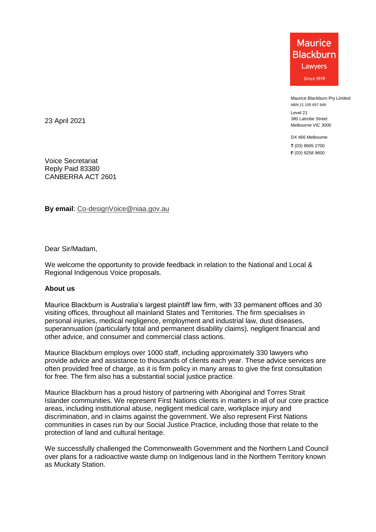**Maurice Blackburn** Lawyers Since 1919

Maurice Blackburn Pty Limited ABN 21 105 657 949

Level 21 380 Latrobe Street Melbourne VIC 3000

DX 466 Melbourne **T** (03) 9605 2700 **F** (03) 9258 9600

23 April 2021

Voice Secretariat Reply Paid 83380 CANBERRA ACT 2601

**By email**: [Co-designVoice@niaa.gov.au](mailto:Co-designVoice@niaa.gov.au)

Dear Sir/Madam,

We welcome the opportunity to provide feedback in relation to the National and Local & Regional Indigenous Voice proposals.

### **About us**

Maurice Blackburn is Australia's largest plaintiff law firm, with 33 permanent offices and 30 visiting offices, throughout all mainland States and Territories. The firm specialises in personal injuries, medical negligence, employment and industrial law, dust diseases, superannuation (particularly total and permanent disability claims), negligent financial and other advice, and consumer and commercial class actions.

Maurice Blackburn employs over 1000 staff, including approximately 330 lawyers who provide advice and assistance to thousands of clients each year. These advice services are often provided free of charge, as it is firm policy in many areas to give the first consultation for free. The firm also has a substantial social justice practice.

Maurice Blackburn has a proud history of partnering with Aboriginal and Torres Strait Islander communities. We represent First Nations clients in matters in all of our core practice areas, including institutional abuse, negligent medical care, workplace injury and discrimination, and in claims against the government. We also represent First Nations communities in cases run by our Social Justice Practice, including those that relate to the protection of land and cultural heritage.

We successfully challenged the Commonwealth Government and the Northern Land Council over plans for a radioactive waste dump on Indigenous land in the Northern Territory known as Muckaty Station.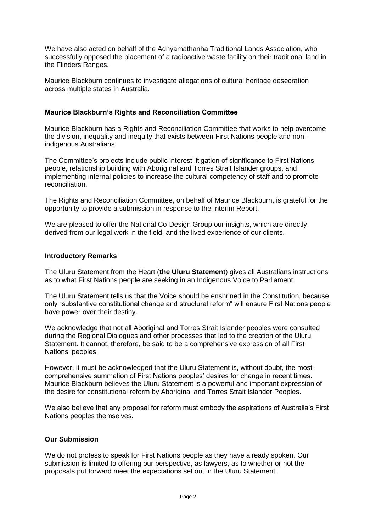We have also acted on behalf of the Adnyamathanha Traditional Lands Association, who successfully opposed the placement of a radioactive waste facility on their traditional land in the Flinders Ranges.

Maurice Blackburn continues to investigate allegations of cultural heritage desecration across multiple states in Australia.

## **Maurice Blackburn's Rights and Reconciliation Committee**

Maurice Blackburn has a Rights and Reconciliation Committee that works to help overcome the division, inequality and inequity that exists between First Nations people and nonindigenous Australians.

The Committee's projects include public interest litigation of significance to First Nations people, relationship building with Aboriginal and Torres Strait Islander groups, and implementing internal policies to increase the cultural competency of staff and to promote reconciliation.

The Rights and Reconciliation Committee, on behalf of Maurice Blackburn, is grateful for the opportunity to provide a submission in response to the Interim Report.

We are pleased to offer the National Co-Design Group our insights, which are directly derived from our legal work in the field, and the lived experience of our clients.

### **Introductory Remarks**

The Uluru Statement from the Heart (**the Uluru Statement**) gives all Australians instructions as to what First Nations people are seeking in an Indigenous Voice to Parliament.

The Uluru Statement tells us that the Voice should be enshrined in the Constitution, because only "substantive constitutional change and structural reform" will ensure First Nations people have power over their destiny.

We acknowledge that not all Aboriginal and Torres Strait Islander peoples were consulted during the Regional Dialogues and other processes that led to the creation of the Uluru Statement. It cannot, therefore, be said to be a comprehensive expression of all First Nations' peoples.

However, it must be acknowledged that the Uluru Statement is, without doubt, the most comprehensive summation of First Nations peoples' desires for change in recent times. Maurice Blackburn believes the Uluru Statement is a powerful and important expression of the desire for constitutional reform by Aboriginal and Torres Strait Islander Peoples.

We also believe that any proposal for reform must embody the aspirations of Australia's First Nations peoples themselves.

### **Our Submission**

We do not profess to speak for First Nations people as they have already spoken. Our submission is limited to offering our perspective, as lawyers, as to whether or not the proposals put forward meet the expectations set out in the Uluru Statement.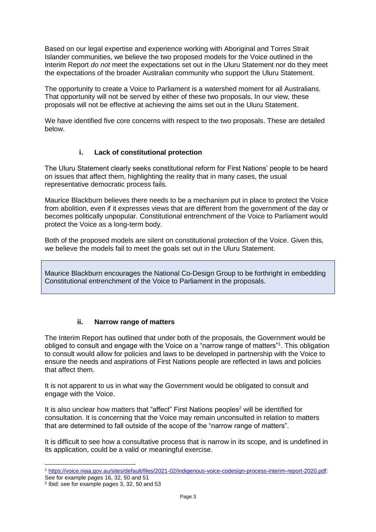Based on our legal expertise and experience working with Aboriginal and Torres Strait Islander communities, we believe the two proposed models for the Voice outlined in the Interim Report *do not* meet the expectations set out in the Uluru Statement nor do they meet the expectations of the broader Australian community who support the Uluru Statement.

The opportunity to create a Voice to Parliament is a watershed moment for all Australians. That opportunity will not be served by either of these two proposals. In our view, these proposals will not be effective at achieving the aims set out in the Uluru Statement.

We have identified five core concerns with respect to the two proposals. These are detailed below.

# **i. Lack of constitutional protection**

The Uluru Statement clearly seeks constitutional reform for First Nations' people to be heard on issues that affect them, highlighting the reality that in many cases, the usual representative democratic process fails.

Maurice Blackburn believes there needs to be a mechanism put in place to protect the Voice from abolition, even if it expresses views that are different from the government of the day or becomes politically unpopular. Constitutional entrenchment of the Voice to Parliament would protect the Voice as a long-term body.

Both of the proposed models are silent on constitutional protection of the Voice. Given this, we believe the models fail to meet the goals set out in the Uluru Statement.

Maurice Blackburn encourages the National Co-Design Group to be forthright in embedding Constitutional entrenchment of the Voice to Parliament in the proposals.

### **ii. Narrow range of matters**

The Interim Report has outlined that under both of the proposals, the Government would be obliged to consult and engage with the Voice on a "narrow range of matters"<sup>1</sup>. This obligation to consult would allow for policies and laws to be developed in partnership with the Voice to ensure the needs and aspirations of First Nations people are reflected in laws and policies that affect them.

It is not apparent to us in what way the Government would be obligated to consult and engage with the Voice.

It is also unclear how matters that "affect" First Nations peoples<sup>2</sup> will be identified for consultation. It is concerning that the Voice may remain unconsulted in relation to matters that are determined to fall outside of the scope of the "narrow range of matters".

It is difficult to see how a consultative process that is narrow in its scope, and is undefined in its application, could be a valid or meaningful exercise.

 <sup>1</sup> [https://voice.niaa.gov.au/sites/default/files/2021-02/indigenous-voice-codesign-process-interim-report-2020.pdf:](https://voice.niaa.gov.au/sites/default/files/2021-02/indigenous-voice-codesign-process-interim-report-2020.pdf)

See for example pages 16, 32, 50 and 51

<sup>2</sup> Ibid: see for example pages 3, 32, 50 and 53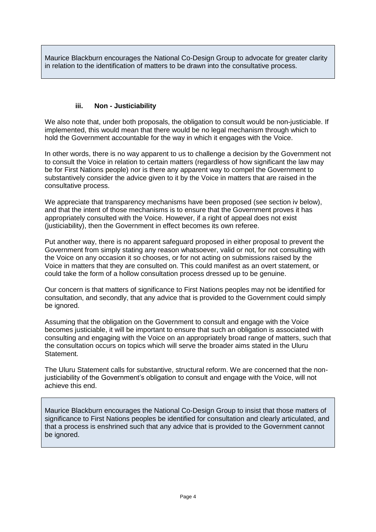Maurice Blackburn encourages the National Co-Design Group to advocate for greater clarity in relation to the identification of matters to be drawn into the consultative process.

# **iii. Non - Justiciability**

We also note that, under both proposals, the obligation to consult would be non-justiciable. If implemented, this would mean that there would be no legal mechanism through which to hold the Government accountable for the way in which it engages with the Voice.

In other words, there is no way apparent to us to challenge a decision by the Government not to consult the Voice in relation to certain matters (regardless of how significant the law may be for First Nations people) nor is there any apparent way to compel the Government to substantively consider the advice given to it by the Voice in matters that are raised in the consultative process.

We appreciate that transparency mechanisms have been proposed (see section iv below). and that the intent of those mechanisms is to ensure that the Government proves it has appropriately consulted with the Voice. However, if a right of appeal does not exist (justiciability), then the Government in effect becomes its own referee.

Put another way, there is no apparent safeguard proposed in either proposal to prevent the Government from simply stating any reason whatsoever, valid or not, for not consulting with the Voice on any occasion it so chooses, or for not acting on submissions raised by the Voice in matters that they are consulted on. This could manifest as an overt statement, or could take the form of a hollow consultation process dressed up to be genuine.

Our concern is that matters of significance to First Nations peoples may not be identified for consultation, and secondly, that any advice that is provided to the Government could simply be ignored.

Assuming that the obligation on the Government to consult and engage with the Voice becomes justiciable, it will be important to ensure that such an obligation is associated with consulting and engaging with the Voice on an appropriately broad range of matters, such that the consultation occurs on topics which will serve the broader aims stated in the Uluru Statement.

The Uluru Statement calls for substantive, structural reform. We are concerned that the nonjusticiability of the Government's obligation to consult and engage with the Voice, will not achieve this end.

Maurice Blackburn encourages the National Co-Design Group to insist that those matters of significance to First Nations peoples be identified for consultation and clearly articulated, and that a process is enshrined such that any advice that is provided to the Government cannot be ignored.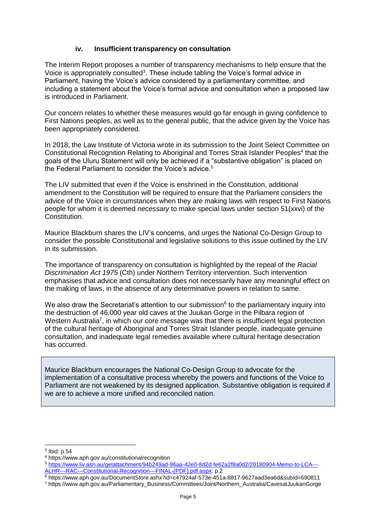### **iv. Insufficient transparency on consultation**

The Interim Report proposes a number of transparency mechanisms to help ensure that the Voice is appropriately consulted<sup>3</sup>. These include tabling the Voice's formal advice in Parliament, having the Voice's advice considered by a parliamentary committee, and including a statement about the Voice's formal advice and consultation when a proposed law is introduced in Parliament.

Our concern relates to whether these measures would go far enough in giving confidence to First Nations peoples, as well as to the general public, that the advice given by the Voice has been appropriately considered.

In 2018, the Law Institute of Victoria wrote in its submission to the Joint Select Committee on Constitutional Recognition Relating to Aboriginal and Torres Strait Islander Peoples<sup>4</sup> that the goals of the Uluru Statement will only be achieved if a "substantive obligation" is placed on the Federal Parliament to consider the Voice's advice.<sup>5</sup>

The LIV submitted that even if the Voice is enshrined in the Constitution, additional amendment to the Constitution will be required to ensure that the Parliament considers the advice of the Voice in circumstances when they are making laws with respect to First Nations people for whom it is deemed *necessary* to make special laws under section 51(xxvi) of the Constitution.

Maurice Blackburn shares the LIV's concerns, and urges the National Co-Design Group to consider the possible Constitutional and legislative solutions to this issue outlined by the LIV in its submission.

The importance of transparency on consultation is highlighted by the repeal of the *Racial Discrimination Act 1975* (Cth) under Northern Territory intervention. Such intervention emphasises that advice and consultation does not necessarily have any meaningful effect on the making of laws, in the absence of any determinative powers in relation to same.

We also draw the Secretariat's attention to our submission $6$  to the parliamentary inquiry into the destruction of 46,000 year old caves at the Juukan Gorge in the Pilbara region of Western Australia<sup>7</sup>, in which our core message was that there is insufficient legal protection of the cultural heritage of Aboriginal and Torres Strait Islander people, inadequate genuine consultation, and inadequate legal remedies available where cultural heritage desecration has occurred.

Maurice Blackburn encourages the National Co-Design Group to advocate for the implementation of a consultative process whereby the powers and functions of the Voice to Parliament are not weakened by its designed application. Substantive obligation is required if we are to achieve a more unified and reconciled nation.

 $^3$  lbid: p.54

<sup>4</sup> https://www.aph.gov.au/constitutionalrecognition

<sup>5</sup> [https://www.liv.asn.au/getattachment/94b249ad-96aa-42e0-8d2d-fe62a2f8a0d2/20180904-Memo-to-LCA---](https://www.liv.asn.au/getattachment/94b249ad-96aa-42e0-8d2d-fe62a2f8a0d2/20180904-Memo-to-LCA---ALHR---RAC---Constitutional-Recognition---FINAL-(PDF).pdf.aspx) [ALHR---RAC---Constitutional-Recognition---FINAL-\(PDF\).pdf.aspx:](https://www.liv.asn.au/getattachment/94b249ad-96aa-42e0-8d2d-fe62a2f8a0d2/20180904-Memo-to-LCA---ALHR---RAC---Constitutional-Recognition---FINAL-(PDF).pdf.aspx) p.2

 $\frac{6}{6}$  https://www.aph.gov.au/DocumentStore.ashx?id=c47924af-573e-451a-8817-9627aad3ea6d&subId=690811

<sup>7</sup> https://www.aph.gov.au/Parliamentary\_Business/Committees/Joint/Northern\_Australia/CavesatJuukanGorge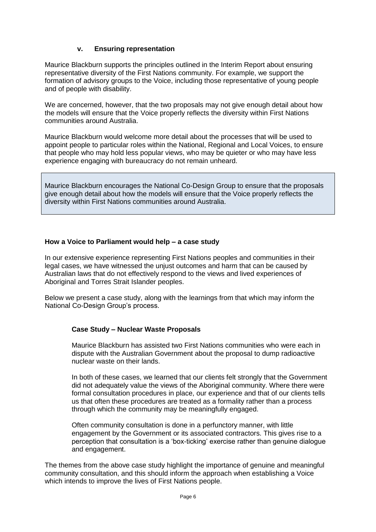### **v. Ensuring representation**

Maurice Blackburn supports the principles outlined in the Interim Report about ensuring representative diversity of the First Nations community. For example, we support the formation of advisory groups to the Voice, including those representative of young people and of people with disability.

We are concerned, however, that the two proposals may not give enough detail about how the models will ensure that the Voice properly reflects the diversity within First Nations communities around Australia.

Maurice Blackburn would welcome more detail about the processes that will be used to appoint people to particular roles within the National, Regional and Local Voices, to ensure that people who may hold less popular views, who may be quieter or who may have less experience engaging with bureaucracy do not remain unheard.

Maurice Blackburn encourages the National Co-Design Group to ensure that the proposals give enough detail about how the models will ensure that the Voice properly reflects the diversity within First Nations communities around Australia.

## **How a Voice to Parliament would help – a case study**

In our extensive experience representing First Nations peoples and communities in their legal cases, we have witnessed the unjust outcomes and harm that can be caused by Australian laws that do not effectively respond to the views and lived experiences of Aboriginal and Torres Strait Islander peoples.

Below we present a case study, along with the learnings from that which may inform the National Co-Design Group's process.

# **Case Study – Nuclear Waste Proposals**

Maurice Blackburn has assisted two First Nations communities who were each in dispute with the Australian Government about the proposal to dump radioactive nuclear waste on their lands.

In both of these cases, we learned that our clients felt strongly that the Government did not adequately value the views of the Aboriginal community. Where there were formal consultation procedures in place, our experience and that of our clients tells us that often these procedures are treated as a formality rather than a process through which the community may be meaningfully engaged.

Often community consultation is done in a perfunctory manner, with little engagement by the Government or its associated contractors. This gives rise to a perception that consultation is a 'box-ticking' exercise rather than genuine dialogue and engagement.

The themes from the above case study highlight the importance of genuine and meaningful community consultation, and this should inform the approach when establishing a Voice which intends to improve the lives of First Nations people.